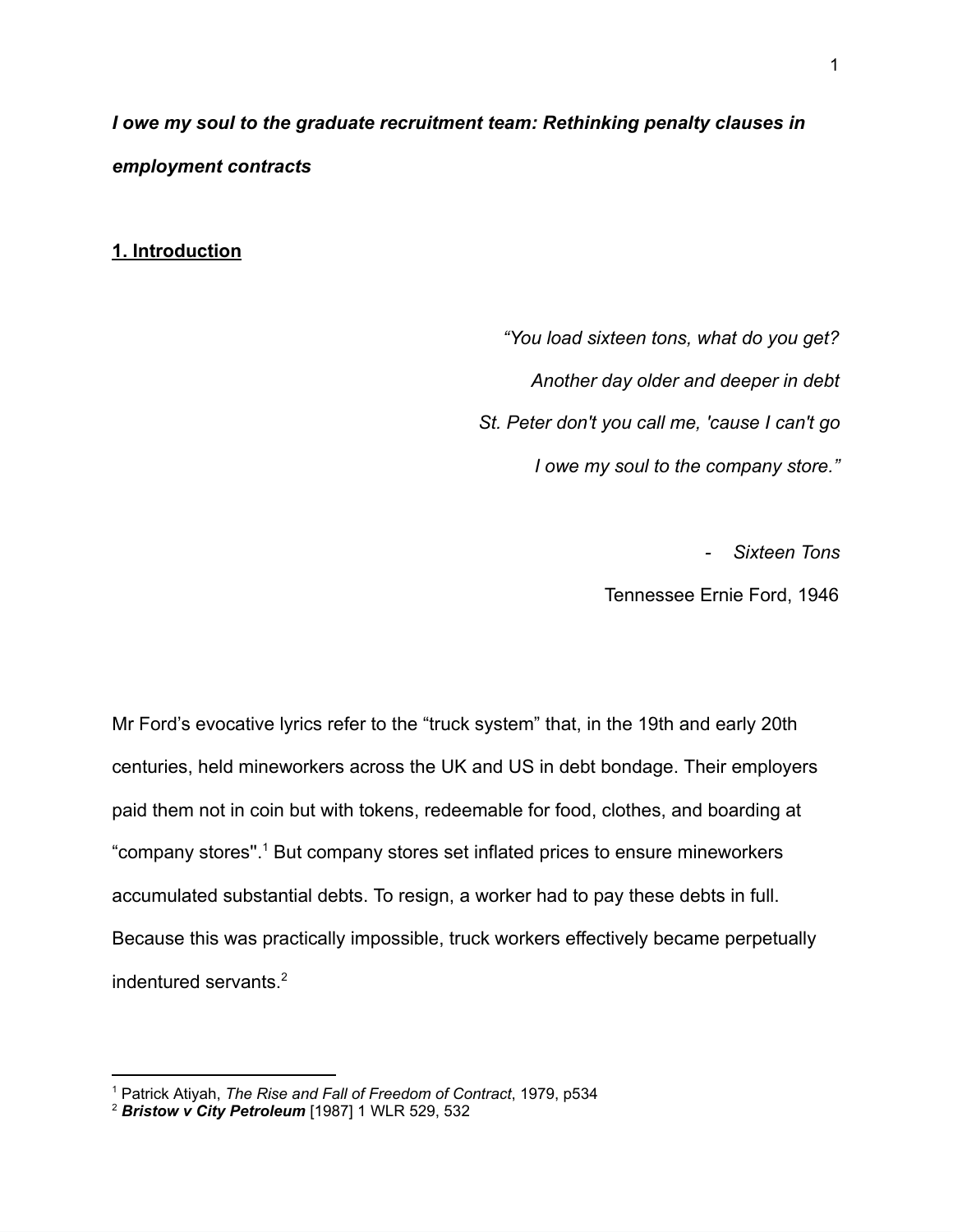*I owe my soul to the graduate recruitment team: Rethinking penalty clauses in employment contracts*

**1. Introduction**

*"You load sixteen tons, what do you get? Another day older and deeper in debt St. Peter don't you call me, 'cause I can't go I owe my soul to the company store."*

*- Sixteen Tons*

Tennessee Ernie Ford, 1946

Mr Ford's evocative lyrics refer to the "truck system" that, in the 19th and early 20th centuries, held mineworkers across the UK and US in debt bondage. Their employers paid them not in coin but with tokens, redeemable for food, clothes, and boarding at "company stores".<sup>1</sup> But company stores set inflated prices to ensure mineworkers accumulated substantial debts. To resign, a worker had to pay these debts in full. Because this was practically impossible, truck workers effectively became perpetually indentured servants.<sup>2</sup>

<sup>1</sup> Patrick Atiyah, *The Rise and Fall of Freedom of Contract*, 1979, p534

<sup>2</sup> *Bristow v City Petroleum* [1987] 1 WLR 529, 532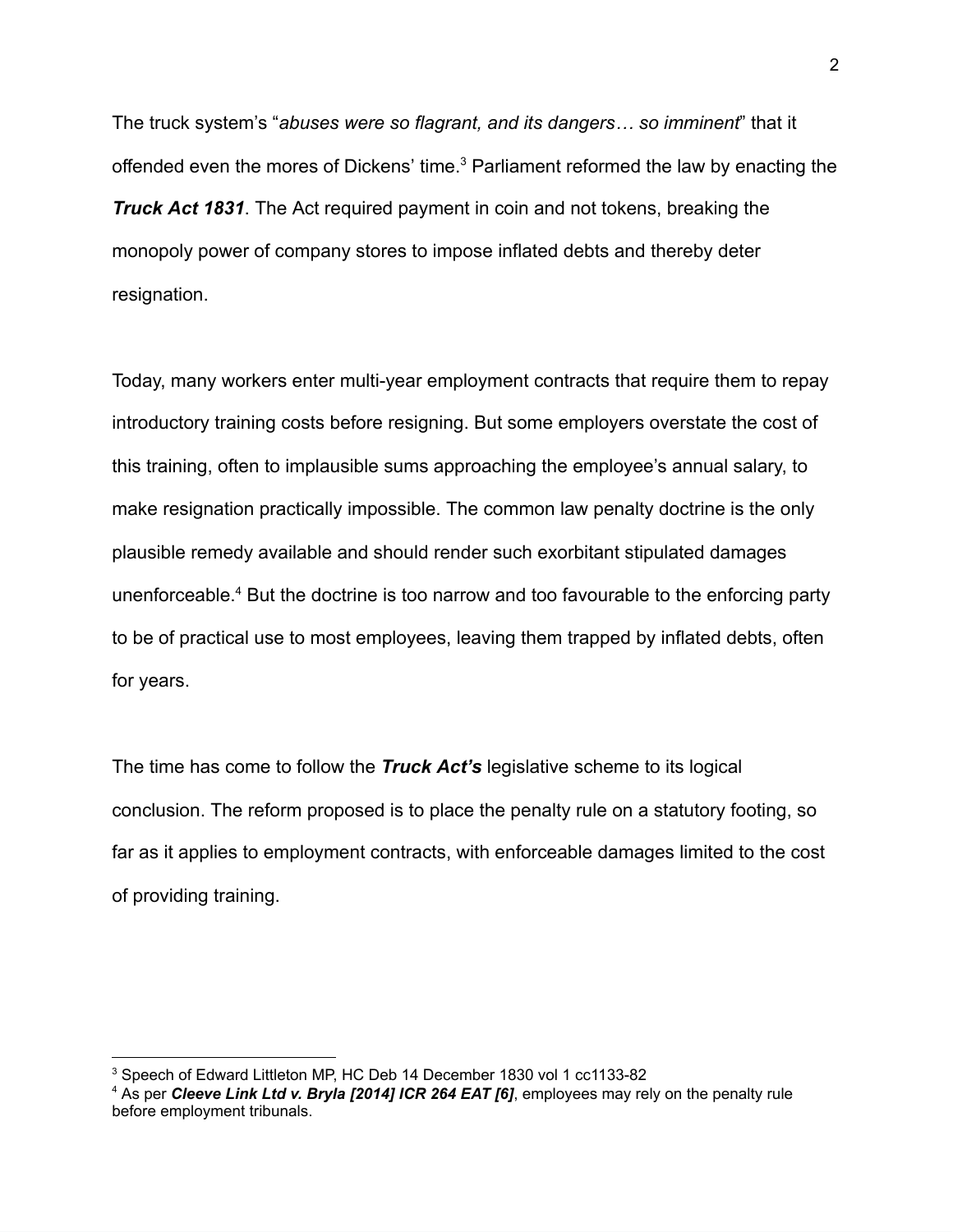The truck system's "*abuses were so flagrant, and its dangers… so imminent*" that it offended even the mores of Dickens' time.<sup>3</sup> Parliament reformed the law by enacting the *Truck Act 1831*. The Act required payment in coin and not tokens, breaking the monopoly power of company stores to impose inflated debts and thereby deter resignation.

Today, many workers enter multi-year employment contracts that require them to repay introductory training costs before resigning. But some employers overstate the cost of this training, often to implausible sums approaching the employee's annual salary, to make resignation practically impossible. The common law penalty doctrine is the only plausible remedy available and should render such exorbitant stipulated damages unenforceable.<sup>4</sup> But the doctrine is too narrow and too favourable to the enforcing party to be of practical use to most employees, leaving them trapped by inflated debts, often for years.

The time has come to follow the *Truck Act's* legislative scheme to its logical conclusion. The reform proposed is to place the penalty rule on a statutory footing, so far as it applies to employment contracts, with enforceable damages limited to the cost of providing training.

<sup>3</sup> Speech of Edward Littleton MP, HC Deb 14 December 1830 vol 1 cc1133-82

<sup>4</sup> As per *Cleeve Link Ltd v. Bryla [2014] ICR 264 EAT [6]*, employees may rely on the penalty rule before employment tribunals.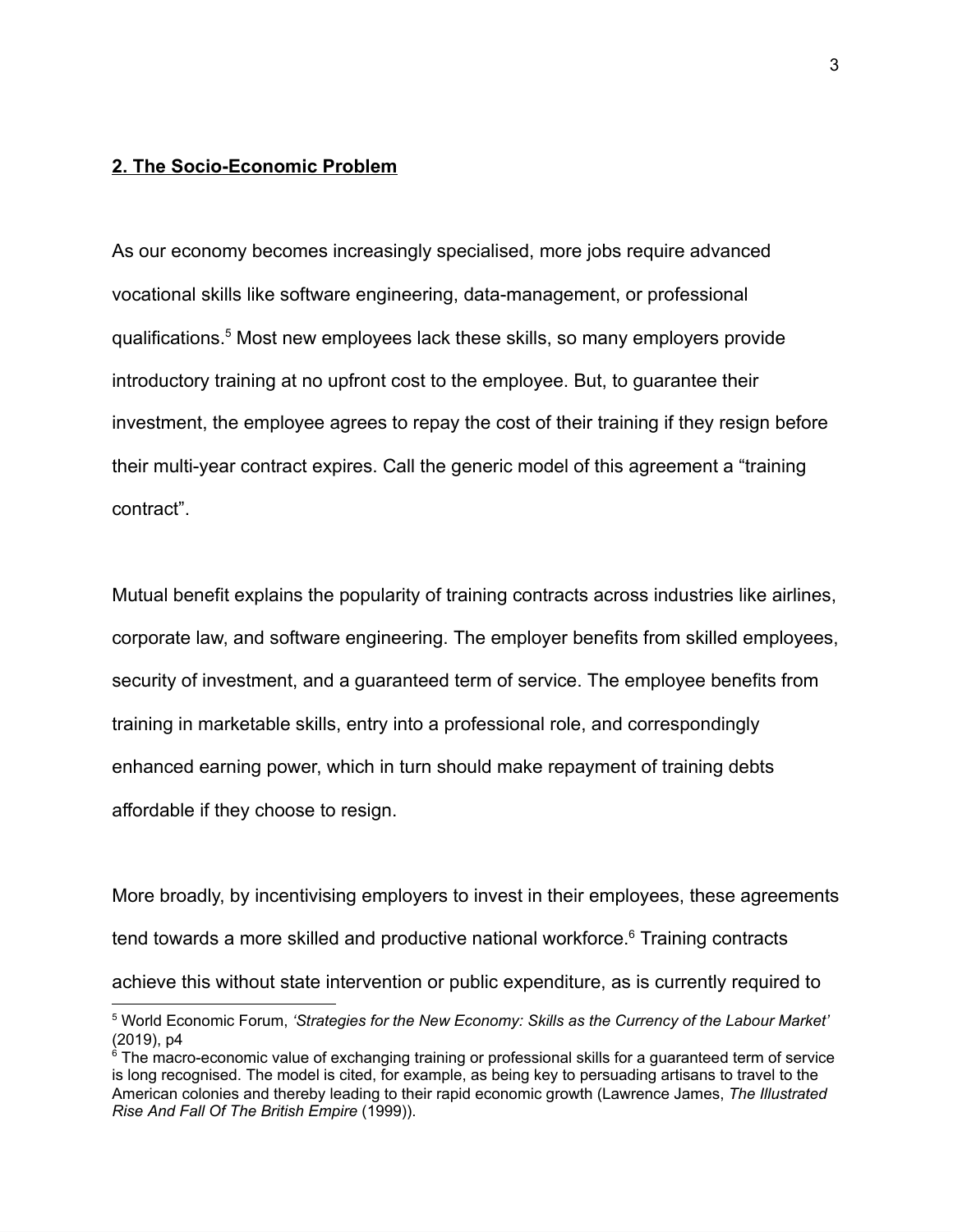# **2. The Socio-Economic Problem**

As our economy becomes increasingly specialised, more jobs require advanced vocational skills like software engineering, data-management, or professional qualifications.<sup>5</sup> Most new employees lack these skills, so many employers provide introductory training at no upfront cost to the employee. But, to guarantee their investment, the employee agrees to repay the cost of their training if they resign before their multi-year contract expires. Call the generic model of this agreement a "training contract".

Mutual benefit explains the popularity of training contracts across industries like airlines, corporate law, and software engineering. The employer benefits from skilled employees, security of investment, and a guaranteed term of service. The employee benefits from training in marketable skills, entry into a professional role, and correspondingly enhanced earning power, which in turn should make repayment of training debts affordable if they choose to resign.

More broadly, by incentivising employers to invest in their employees, these agreements tend towards a more skilled and productive national workforce.<sup>6</sup> Training contracts achieve this without state intervention or public expenditure, as is currently required to

<sup>5</sup> World Economic Forum, *'Strategies for the New Economy: Skills as the Currency of the Labour Market'* (2019), p4

 $6$  The macro-economic value of exchanging training or professional skills for a guaranteed term of service is long recognised. The model is cited, for example, as being key to persuading artisans to travel to the American colonies and thereby leading to their rapid economic growth (Lawrence James, *The Illustrated Rise And Fall Of The British Empire* (1999)).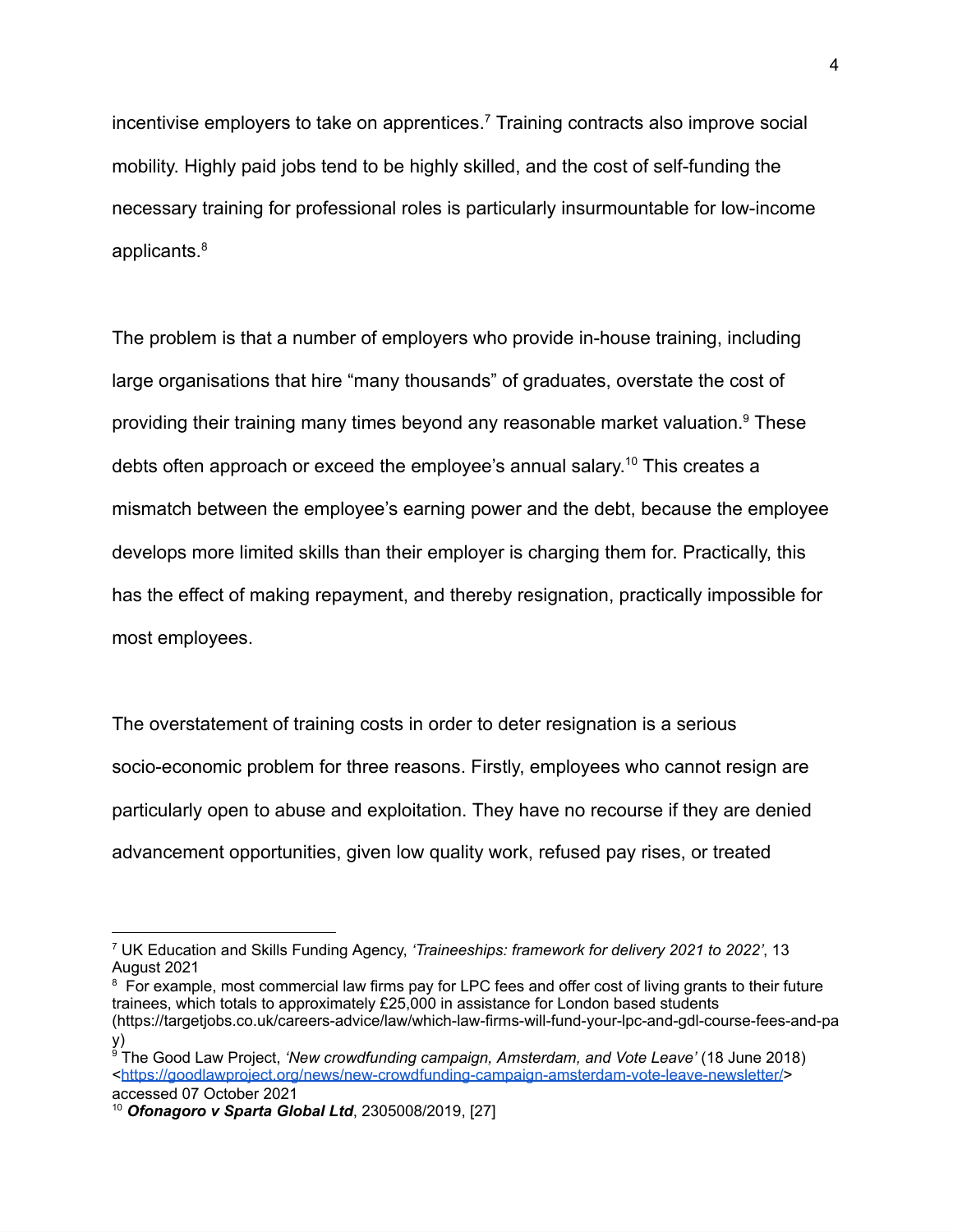incentivise employers to take on apprentices.<sup>7</sup> Training contracts also improve social mobility. Highly paid jobs tend to be highly skilled, and the cost of self-funding the necessary training for professional roles is particularly insurmountable for low-income applicants.<sup>8</sup>

The problem is that a number of employers who provide in-house training, including large organisations that hire "many thousands" of graduates, overstate the cost of providing their training many times beyond any reasonable market valuation.<sup>9</sup> These debts often approach or exceed the employee's annual salary. <sup>10</sup> This creates a mismatch between the employee's earning power and the debt, because the employee develops more limited skills than their employer is charging them for. Practically, this has the effect of making repayment, and thereby resignation, practically impossible for most employees.

The overstatement of training costs in order to deter resignation is a serious socio-economic problem for three reasons. Firstly, employees who cannot resign are particularly open to abuse and exploitation. They have no recourse if they are denied advancement opportunities, given low quality work, refused pay rises, or treated

<sup>7</sup> UK Education and Skills Funding Agency, *'Traineeships: framework for delivery 2021 to 2022'*, 13 August 2021

<sup>&</sup>lt;sup>8</sup> For example, most commercial law firms pay for LPC fees and offer cost of living grants to their future trainees, which totals to approximately £25,000 in assistance for London based students (https://targetjobs.co.uk/careers-advice/law/which-law-firms-will-fund-your-lpc-and-gdl-course-fees-and-pa y)

<sup>9</sup> The Good Law Project, *'New crowdfunding campaign, Amsterdam, and Vote Leave'* (18 June 2018) <<https://goodlawproject.org/news/new-crowdfunding-campaign-amsterdam-vote-leave-newsletter/>> accessed 07 October 2021

<sup>10</sup> *Ofonagoro v Sparta Global Ltd*, 2305008/2019, [27]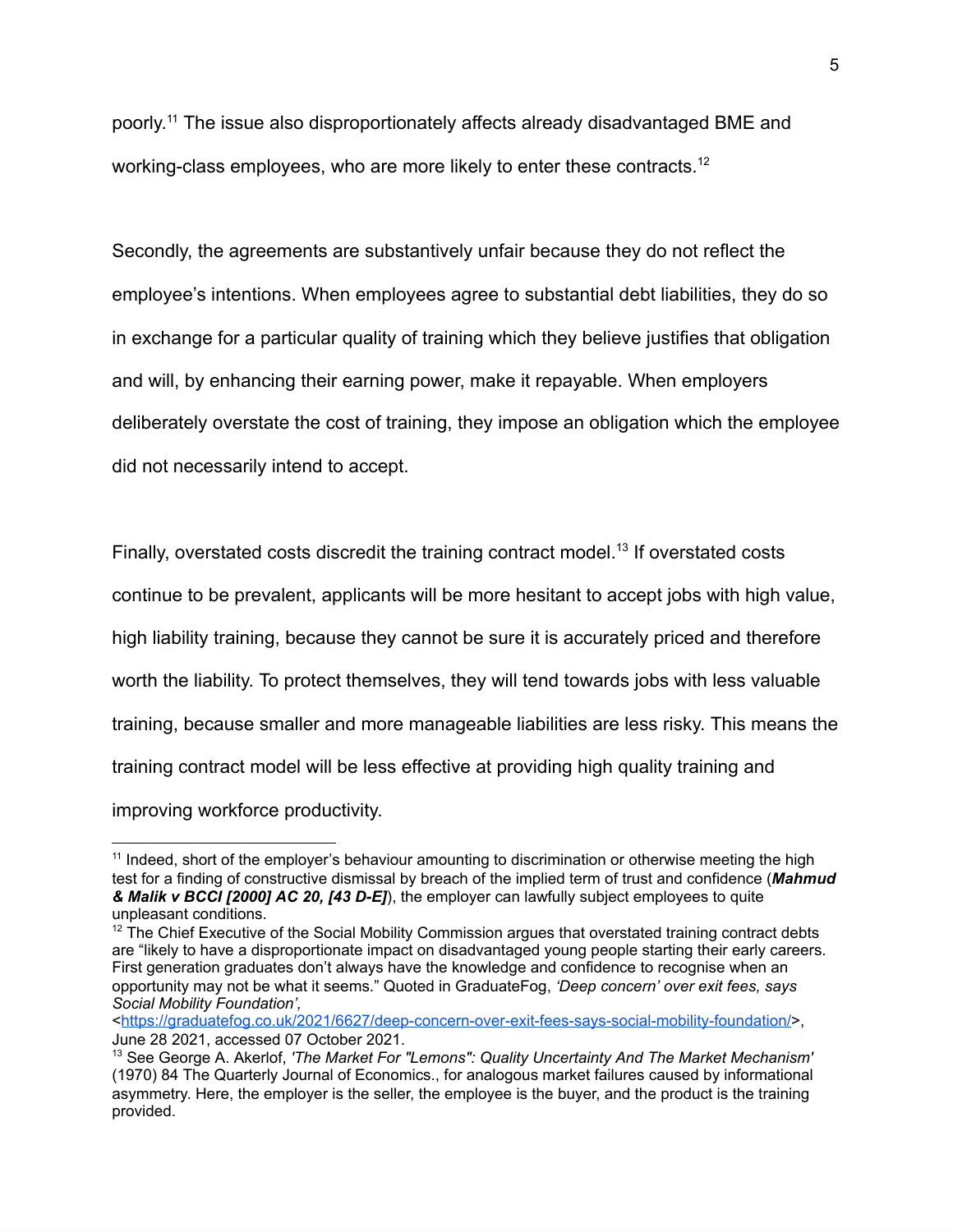poorly. <sup>11</sup> The issue also disproportionately affects already disadvantaged BME and working-class employees, who are more likely to enter these contracts.<sup>12</sup>

Secondly, the agreements are substantively unfair because they do not reflect the employee's intentions. When employees agree to substantial debt liabilities, they do so in exchange for a particular quality of training which they believe justifies that obligation and will, by enhancing their earning power, make it repayable. When employers deliberately overstate the cost of training, they impose an obligation which the employee did not necessarily intend to accept.

Finally, overstated costs discredit the training contract model.<sup>13</sup> If overstated costs continue to be prevalent, applicants will be more hesitant to accept jobs with high value, high liability training, because they cannot be sure it is accurately priced and therefore worth the liability. To protect themselves, they will tend towards jobs with less valuable training, because smaller and more manageable liabilities are less risky. This means the training contract model will be less effective at providing high quality training and improving workforce productivity.

<sup>&</sup>lt;sup>11</sup> Indeed, short of the employer's behaviour amounting to discrimination or otherwise meeting the high test for a finding of constructive dismissal by breach of the implied term of trust and confidence (*Mahmud & Malik v BCCI [2000] AC 20, [43 D-E]*), the employer can lawfully subject employees to quite unpleasant conditions.

 $12$  The Chief Executive of the Social Mobility Commission argues that overstated training contract debts are "likely to have a disproportionate impact on disadvantaged young people starting their early careers. First generation graduates don't always have the knowledge and confidence to recognise when an opportunity may not be what it seems." Quoted in GraduateFog, *'Deep concern' over exit fees, says Social Mobility Foundation',*

<sup>&</sup>lt;<https://graduatefog.co.uk/2021/6627/deep-concern-over-exit-fees-says-social-mobility-foundation/>>, June 28 2021, accessed 07 October 2021.

<sup>13</sup> See George A. Akerlof, *'The Market For "Lemons": Quality Uncertainty And The Market Mechanism'* (1970) 84 The Quarterly Journal of Economics., for analogous market failures caused by informational asymmetry. Here, the employer is the seller, the employee is the buyer, and the product is the training provided.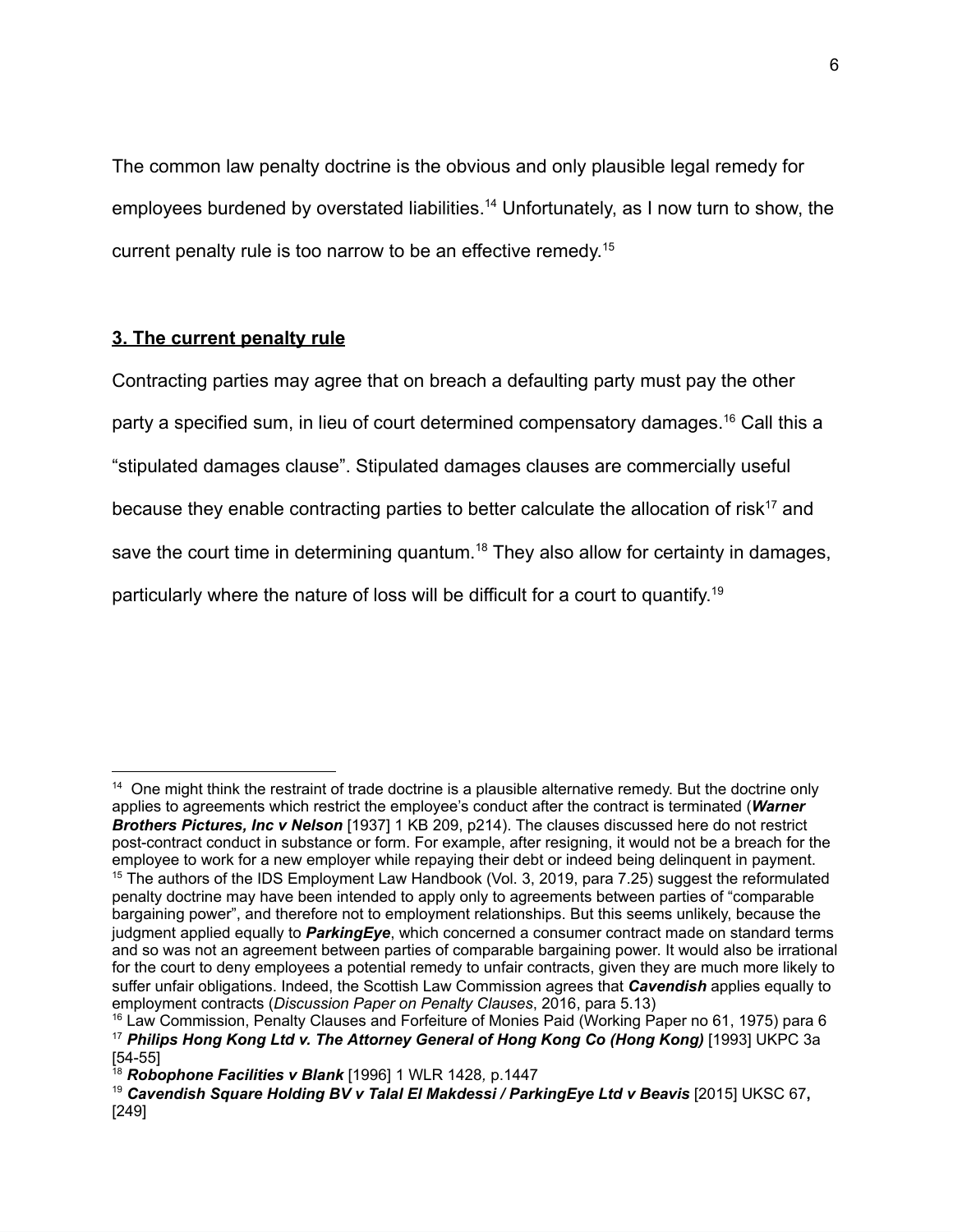The common law penalty doctrine is the obvious and only plausible legal remedy for employees burdened by overstated liabilities.<sup>14</sup> Unfortunately, as I now turn to show, the current penalty rule is too narrow to be an effective remedy. 15

## **3. The current penalty rule**

Contracting parties may agree that on breach a defaulting party must pay the other party a specified sum, in lieu of court determined compensatory damages.<sup>16</sup> Call this a "stipulated damages clause". Stipulated damages clauses are commercially useful because they enable contracting parties to better calculate the allocation of risk<sup>17</sup> and save the court time in determining quantum.<sup>18</sup> They also allow for certainty in damages, particularly where the nature of loss will be difficult for a court to quantify. 19

<sup>&</sup>lt;sup>14</sup> One might think the restraint of trade doctrine is a plausible alternative remedy. But the doctrine only applies to agreements which restrict the employee's conduct after the contract is terminated (*Warner Brothers Pictures, Inc v Nelson* [1937] 1 KB 209, p214). The clauses discussed here do not restrict post-contract conduct in substance or form. For example, after resigning, it would not be a breach for the employee to work for a new employer while repaying their debt or indeed being delinquent in payment. <sup>15</sup> The authors of the IDS Employment Law Handbook (Vol. 3, 2019, para 7.25) suggest the reformulated penalty doctrine may have been intended to apply only to agreements between parties of "comparable bargaining power", and therefore not to employment relationships. But this seems unlikely, because the judgment applied equally to *ParkingEye*, which concerned a consumer contract made on standard terms and so was not an agreement between parties of comparable bargaining power. It would also be irrational for the court to deny employees a potential remedy to unfair contracts, given they are much more likely to suffer unfair obligations. Indeed, the Scottish Law Commission agrees that *Cavendish* applies equally to employment contracts (*Discussion Paper on Penalty Clauses*, 2016, para 5.13)

<sup>16</sup> Law Commission, Penalty Clauses and Forfeiture of Monies Paid (Working Paper no 61, 1975) para 6 <sup>17</sup> *Philips Hong Kong Ltd v. The Attorney General of Hong Kong Co (Hong Kong)* [1993] UKPC 3a [54-55]

<sup>18</sup> *Robophone Facilities v Blank* [1996] 1 WLR 1428*,* p.1447

<sup>19</sup> *Cavendish Square Holding BV v Talal El Makdessi / ParkingEye Ltd v Beavis* [2015] UKSC 67**,** [249]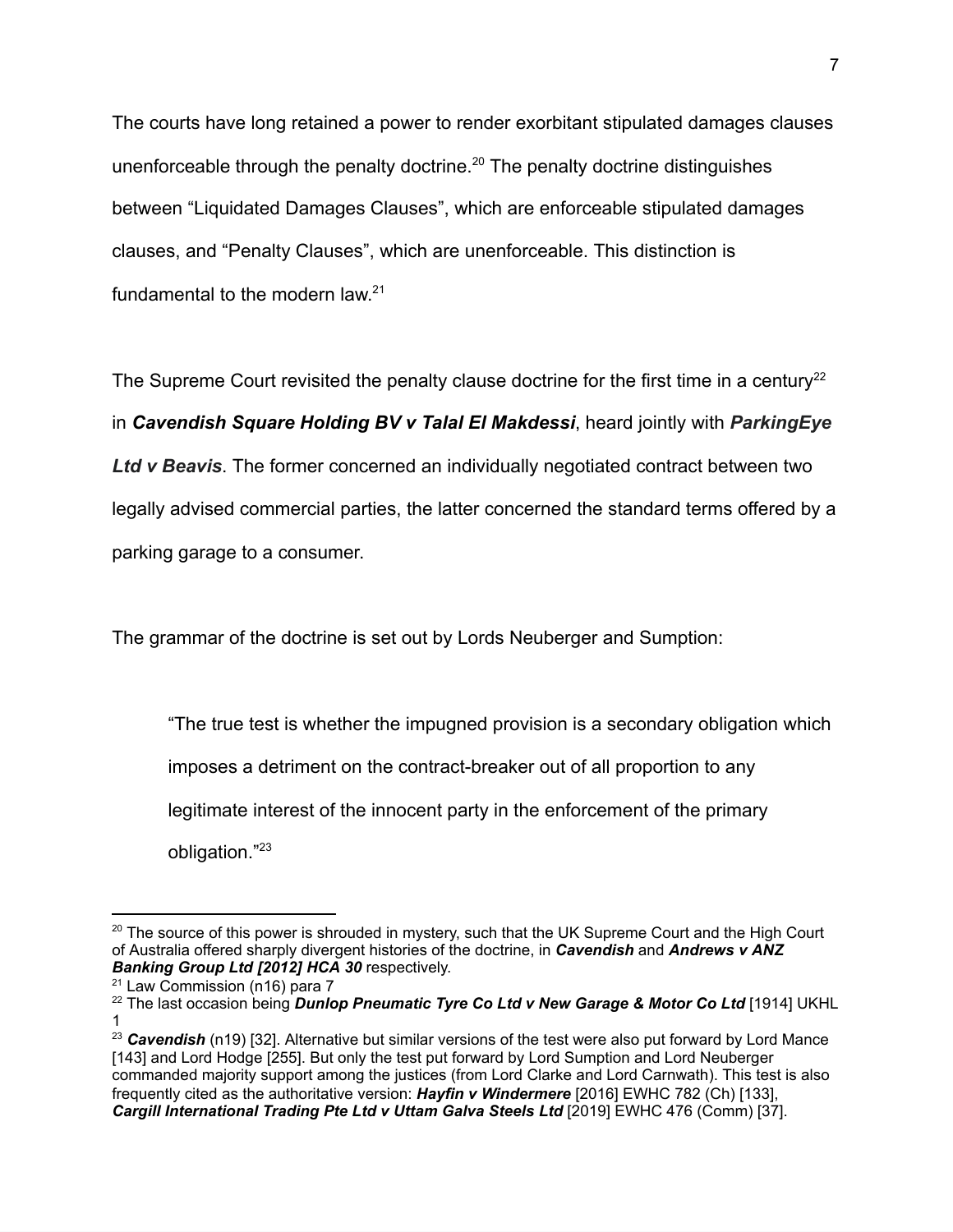The courts have long retained a power to render exorbitant stipulated damages clauses unenforceable through the penalty doctrine.<sup>20</sup> The penalty doctrine distinguishes between "Liquidated Damages Clauses", which are enforceable stipulated damages clauses, and "Penalty Clauses", which are unenforceable. This distinction is fundamental to the modern law.<sup>21</sup>

The Supreme Court revisited the penalty clause doctrine for the first time in a century<sup>22</sup> in *Cavendish Square Holding BV v Talal El Makdessi*, heard jointly with *ParkingEye Ltd v Beavis*. The former concerned an individually negotiated contract between two legally advised commercial parties, the latter concerned the standard terms offered by a parking garage to a consumer.

The grammar of the doctrine is set out by Lords Neuberger and Sumption:

"The true test is whether the impugned provision is a secondary obligation which imposes a detriment on the contract-breaker out of all proportion to any legitimate interest of the innocent party in the enforcement of the primary obligation."<sup>23</sup>

 $20$  The source of this power is shrouded in mystery, such that the UK Supreme Court and the High Court of Australia offered sharply divergent histories of the doctrine, in *Cavendish* and *Andrews v ANZ Banking Group Ltd [2012] HCA 30* respectively.

 $21$  Law Commission (n16) para 7

<sup>22</sup> The last occasion being *Dunlop Pneumatic Tyre Co Ltd v New Garage & Motor Co Ltd* [1914] UKHL 1

<sup>&</sup>lt;sup>23</sup> Cavendish (n19) [32]. Alternative but similar versions of the test were also put forward by Lord Mance [143] and Lord Hodge [255]. But only the test put forward by Lord Sumption and Lord Neuberger commanded majority support among the justices (from Lord Clarke and Lord Carnwath). This test is also frequently cited as the authoritative version: *Hayfin v Windermere* [2016] EWHC 782 (Ch) [133], *Cargill International Trading Pte Ltd v Uttam Galva Steels Ltd* [2019] EWHC 476 (Comm) [37].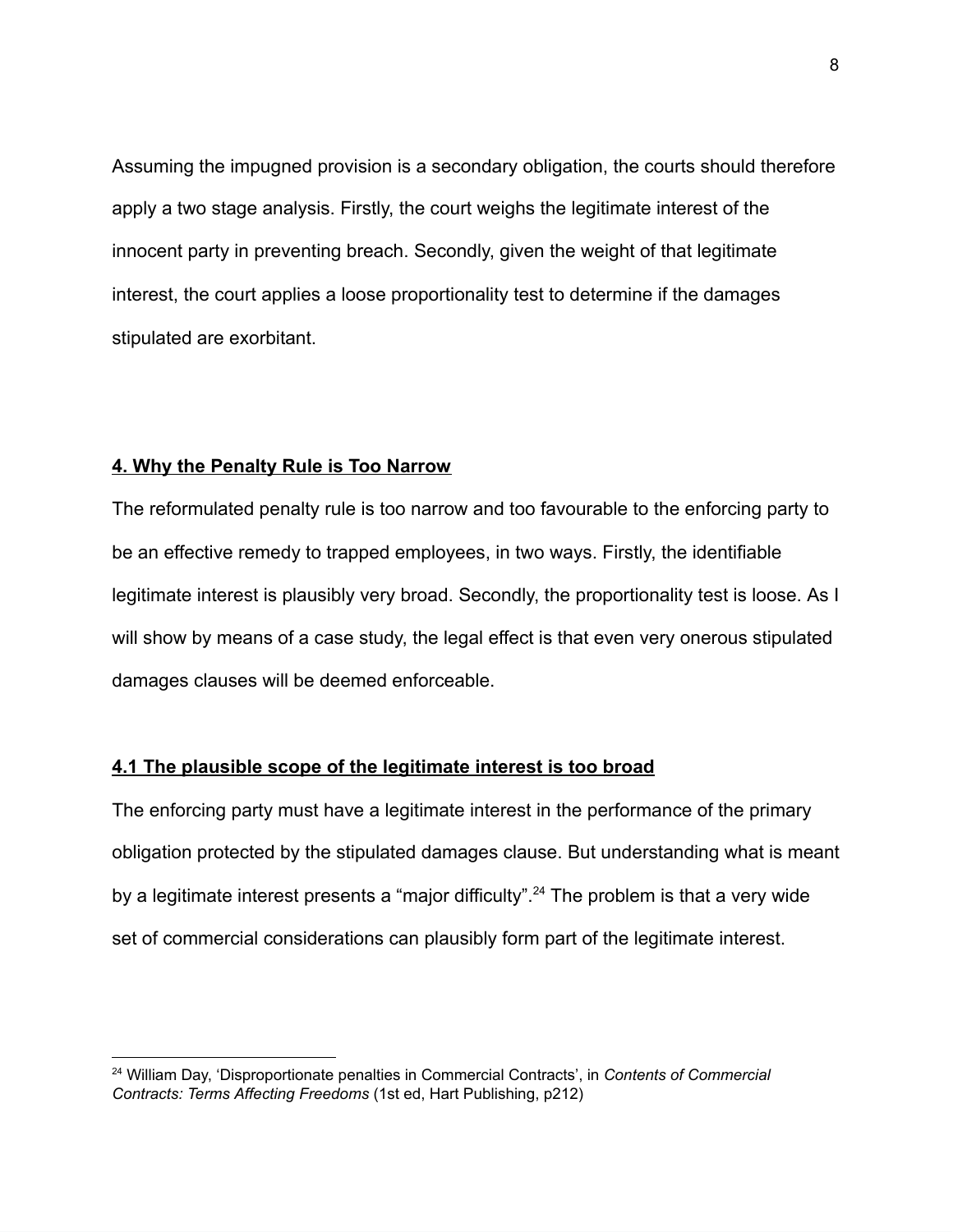Assuming the impugned provision is a secondary obligation, the courts should therefore apply a two stage analysis. Firstly, the court weighs the legitimate interest of the innocent party in preventing breach. Secondly, given the weight of that legitimate interest, the court applies a loose proportionality test to determine if the damages stipulated are exorbitant.

## **4. Why the Penalty Rule is Too Narrow**

The reformulated penalty rule is too narrow and too favourable to the enforcing party to be an effective remedy to trapped employees, in two ways. Firstly, the identifiable legitimate interest is plausibly very broad. Secondly, the proportionality test is loose. As I will show by means of a case study, the legal effect is that even very onerous stipulated damages clauses will be deemed enforceable.

## **4.1 The plausible scope of the legitimate interest is too broad**

The enforcing party must have a legitimate interest in the performance of the primary obligation protected by the stipulated damages clause. But understanding what is meant by a legitimate interest presents a "major difficulty".<sup>24</sup> The problem is that a very wide set of commercial considerations can plausibly form part of the legitimate interest.

<sup>24</sup> William Day, 'Disproportionate penalties in Commercial Contracts', in *Contents of Commercial Contracts: Terms Affecting Freedoms* (1st ed, Hart Publishing, p212)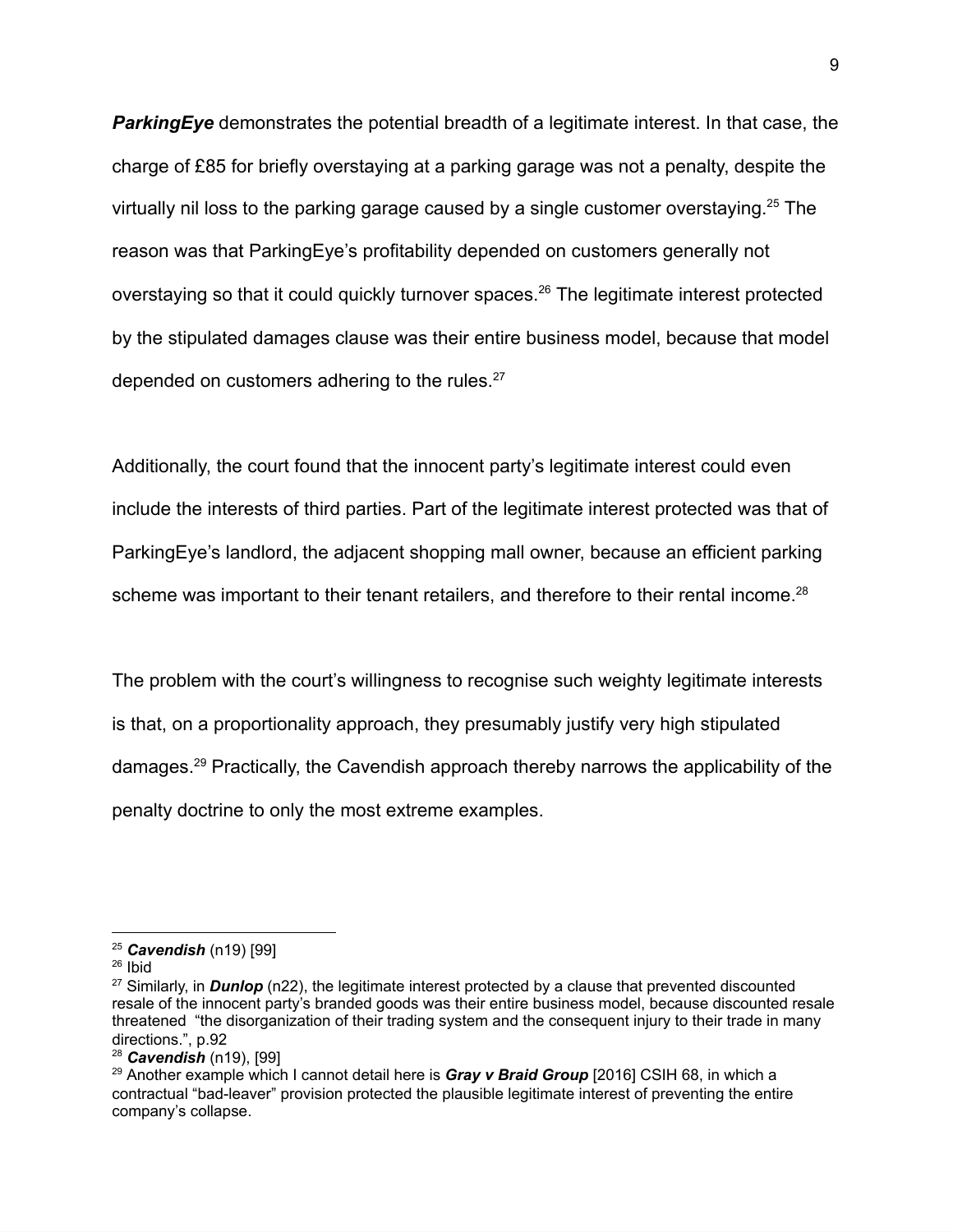*ParkingEye* demonstrates the potential breadth of a legitimate interest. In that case, the charge of £85 for briefly overstaying at a parking garage was not a penalty, despite the virtually nil loss to the parking garage caused by a single customer overstaying.<sup>25</sup> The reason was that ParkingEye's profitability depended on customers generally not overstaying so that it could quickly turnover spaces.<sup>26</sup> The legitimate interest protected by the stipulated damages clause was their entire business model, because that model depended on customers adhering to the rules.<sup>27</sup>

Additionally, the court found that the innocent party's legitimate interest could even include the interests of third parties. Part of the legitimate interest protected was that of ParkingEye's landlord, the adjacent shopping mall owner, because an efficient parking scheme was important to their tenant retailers, and therefore to their rental income.<sup>28</sup>

The problem with the court's willingness to recognise such weighty legitimate interests is that, on a proportionality approach, they presumably justify very high stipulated damages.<sup>29</sup> Practically, the Cavendish approach thereby narrows the applicability of the penalty doctrine to only the most extreme examples.

 $26$  Ibid

<sup>25</sup> *Cavendish* (n19) [99]

<sup>27</sup> Similarly, in *Dunlop* (n22), the legitimate interest protected by a clause that prevented discounted resale of the innocent party's branded goods was their entire business model, because discounted resale threatened "the disorganization of their trading system and the consequent injury to their trade in many directions.", p.92

<sup>28</sup> *Cavendish* (n19), [99]

<sup>29</sup> Another example which I cannot detail here is *Gray v Braid Group* [2016] CSIH 68, in which a contractual "bad-leaver" provision protected the plausible legitimate interest of preventing the entire company's collapse.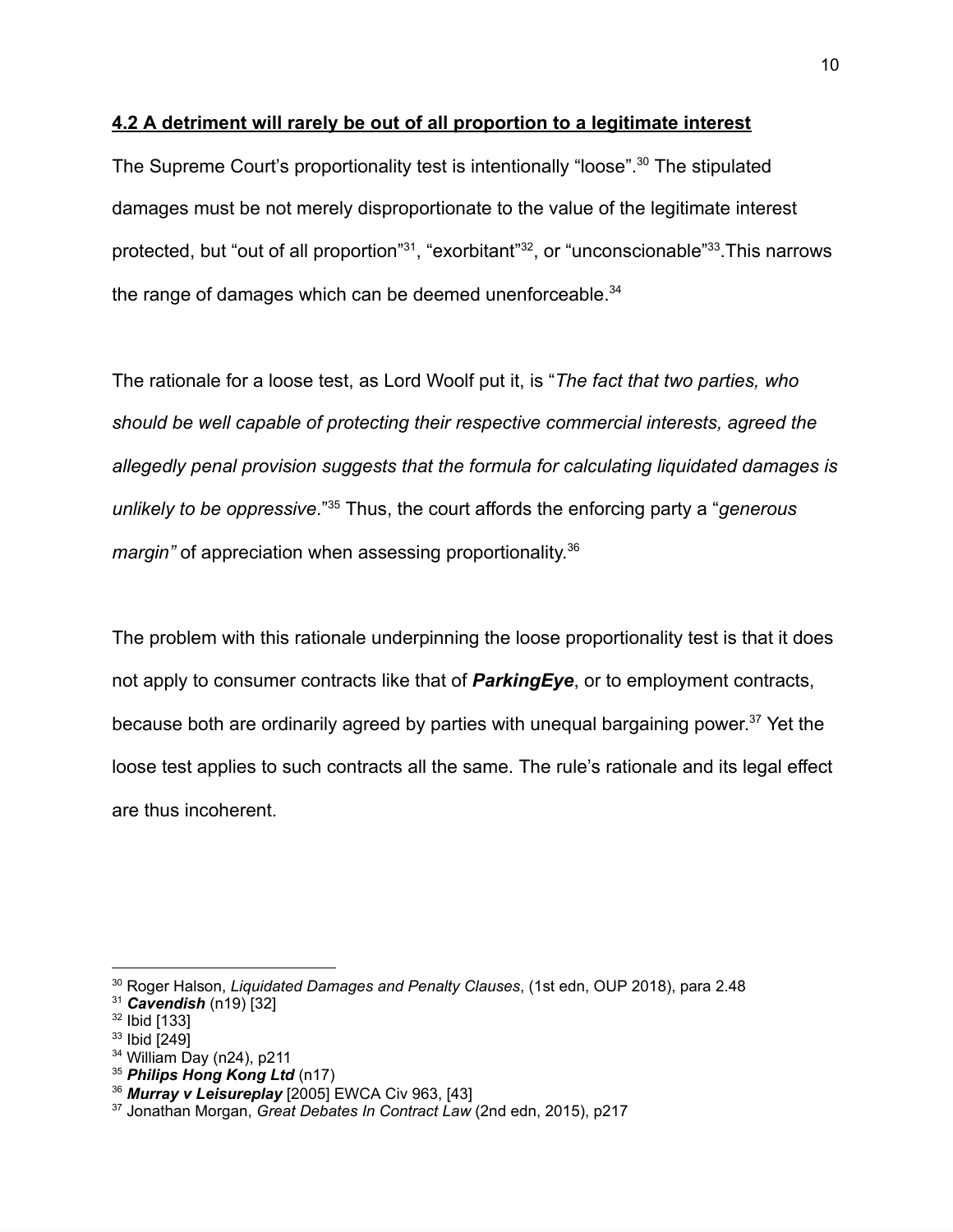#### **4.2 A detriment will rarely be out of all proportion to a legitimate interest**

The Supreme Court's proportionality test is intentionally "loose".<sup>30</sup> The stipulated damages must be not merely disproportionate to the value of the legitimate interest protected, but "out of all proportion"<sup>31</sup>, "exorbitant"<sup>32</sup>, or "unconscionable"<sup>33</sup>.This narrows the range of damages which can be deemed unenforceable.<sup>34</sup>

The rationale for a loose test, as Lord Woolf put it, is "*The fact that two parties, who should be well capable of protecting their respective commercial interests, agreed the allegedly penal provision suggests that the formula for calculating liquidated damages is unlikely to be oppressive*."<sup>35</sup> Thus, the court affords the enforcing party a "*generous margin"* of appreciation when assessing proportionality. 36

The problem with this rationale underpinning the loose proportionality test is that it does not apply to consumer contracts like that of *ParkingEye*, or to employment contracts, because both are ordinarily agreed by parties with unequal bargaining power. <sup>37</sup> Yet the loose test applies to such contracts all the same. The rule's rationale and its legal effect are thus incoherent.

<sup>30</sup> Roger Halson, *Liquidated Damages and Penalty Clauses*, (1st edn, OUP 2018), para 2.48

<sup>31</sup> *Cavendish* (n19) [32]

<sup>32</sup> Ibid [133]

<sup>33</sup> Ibid [249]

<sup>34</sup> William Day (n24), p211

<sup>35</sup> *Philips Hong Kong Ltd* (n17)

<sup>36</sup> *Murray v Leisureplay* [2005] EWCA Civ 963, [43]

<sup>37</sup> Jonathan Morgan, *Great Debates In Contract Law* (2nd edn, 2015), p217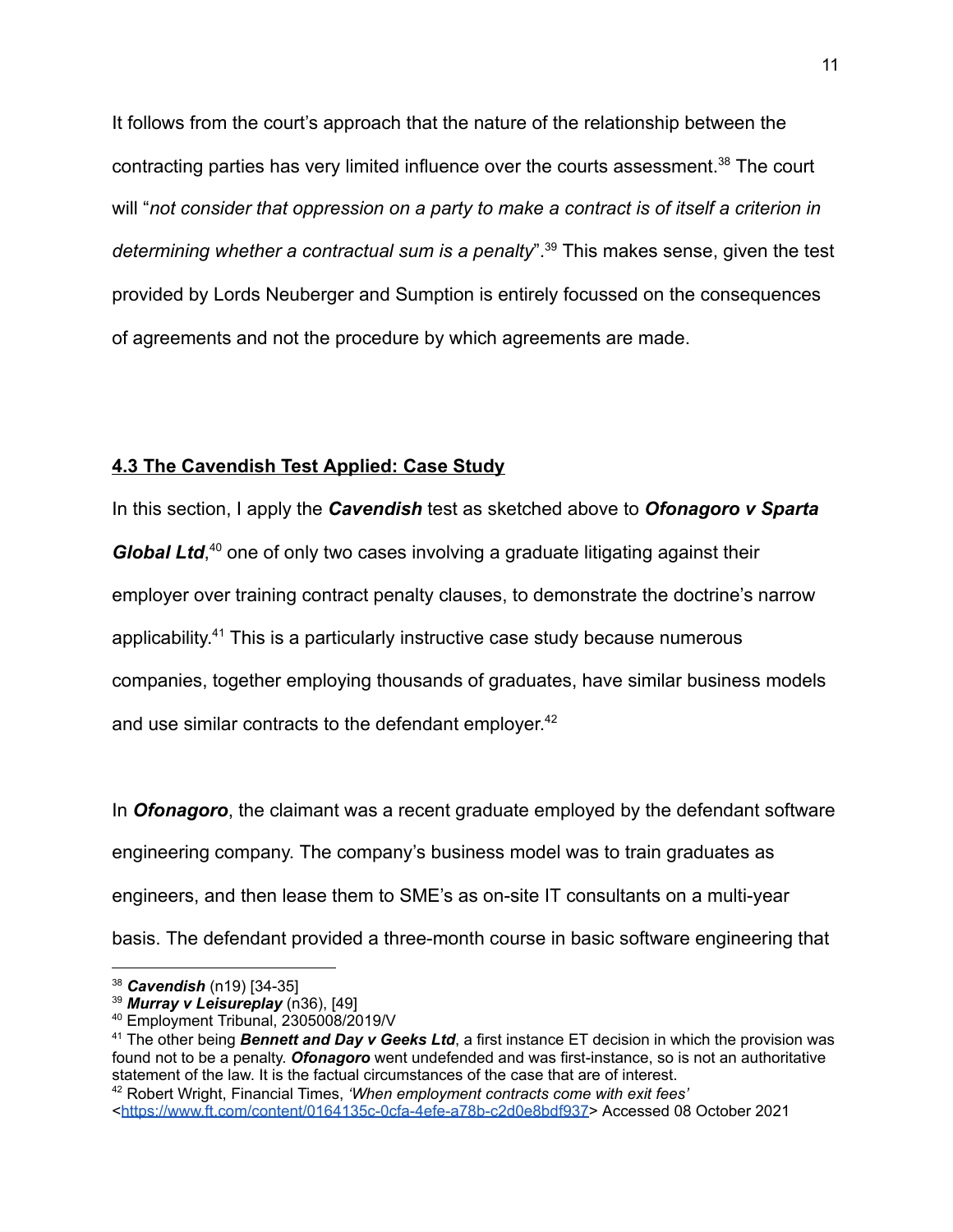It follows from the court's approach that the nature of the relationship between the contracting parties has very limited influence over the courts assessment.<sup>38</sup> The court will "*not consider that oppression on a party to make a contract is of itself a criterion in determining whether a contractual sum is a penalty*".<sup>39</sup> This makes sense, given the test provided by Lords Neuberger and Sumption is entirely focussed on the consequences of agreements and not the procedure by which agreements are made.

# **4.3 The Cavendish Test Applied: Case Study**

In this section, I apply the *Cavendish* test as sketched above to *Ofonagoro v Sparta* Global Ltd,<sup>40</sup> one of only two cases involving a graduate litigating against their employer over training contract penalty clauses, to demonstrate the doctrine's narrow applicability. <sup>41</sup> This is a particularly instructive case study because numerous companies, together employing thousands of graduates, have similar business models and use similar contracts to the defendant employer.<sup>42</sup>

In *Ofonagoro*, the claimant was a recent graduate employed by the defendant software engineering company. The company's business model was to train graduates as engineers, and then lease them to SME's as on-site IT consultants on a multi-year basis. The defendant provided a three-month course in basic software engineering that

<sup>38</sup> *Cavendish* (n19) [34-35]

<sup>39</sup> *Murray v Leisureplay* (n36), [49]

<sup>40</sup> Employment Tribunal, 2305008/2019/V

<sup>41</sup> The other being *Bennett and Day v Geeks Ltd*, a first instance ET decision in which the provision was found not to be a penalty. *Ofonagoro* went undefended and was first-instance, so is not an authoritative statement of the law. It is the factual circumstances of the case that are of interest.

<sup>42</sup> Robert Wright, Financial Times, *'When employment contracts come with exit fees'* <[https://www.ft.com/content/0164135c-0cfa-4efe-a78b-c2d0e8bdf937>](https://www.ft.com/content/0164135c-0cfa-4efe-a78b-c2d0e8bdf937) Accessed 08 October 2021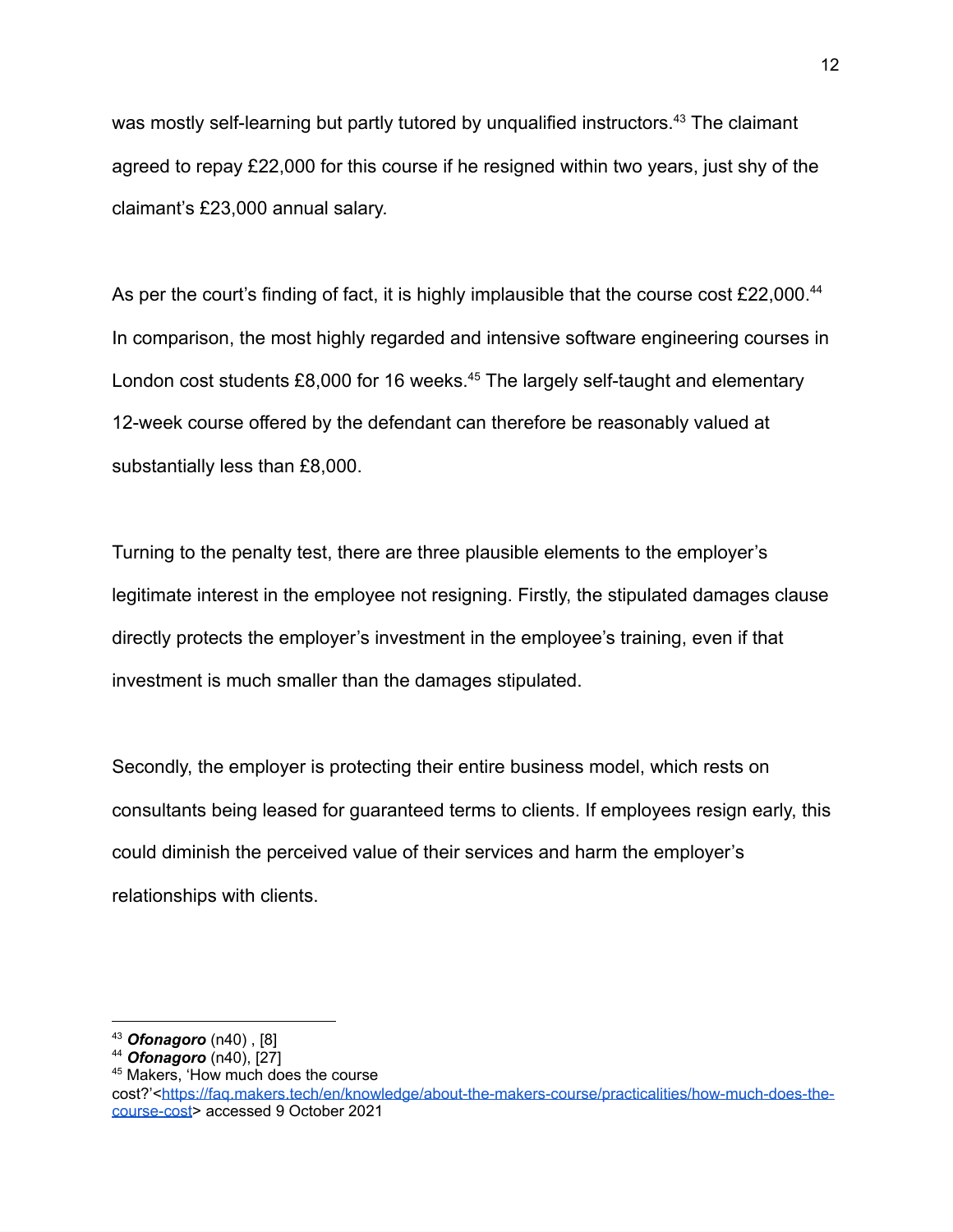was mostly self-learning but partly tutored by unqualified instructors.<sup>43</sup> The claimant agreed to repay £22,000 for this course if he resigned within two years, just shy of the claimant's £23,000 annual salary.

As per the court's finding of fact, it is highly implausible that the course cost  $\text{\pounds}22,000$ .<sup>44</sup> In comparison, the most highly regarded and intensive software engineering courses in London cost students  $£8,000$  for 16 weeks.<sup>45</sup> The largely self-taught and elementary 12-week course offered by the defendant can therefore be reasonably valued at substantially less than £8,000.

Turning to the penalty test, there are three plausible elements to the employer's legitimate interest in the employee not resigning. Firstly, the stipulated damages clause directly protects the employer's investment in the employee's training, even if that investment is much smaller than the damages stipulated.

Secondly, the employer is protecting their entire business model, which rests on consultants being leased for guaranteed terms to clients. If employees resign early, this could diminish the perceived value of their services and harm the employer's relationships with clients.

<sup>43</sup> *Ofonagoro* (n40) , [8]

<sup>44</sup> *Ofonagoro* (n40), [27]

<sup>45</sup> Makers, 'How much does the course

cost?'<[https://faq.makers.tech/en/knowledge/about-the-makers-course/practicalities/how-much-does-the](https://faq.makers.tech/en/knowledge/about-the-makers-course/practicalities/how-much-does-the-course-cost)[course-cost>](https://faq.makers.tech/en/knowledge/about-the-makers-course/practicalities/how-much-does-the-course-cost) accessed 9 October 2021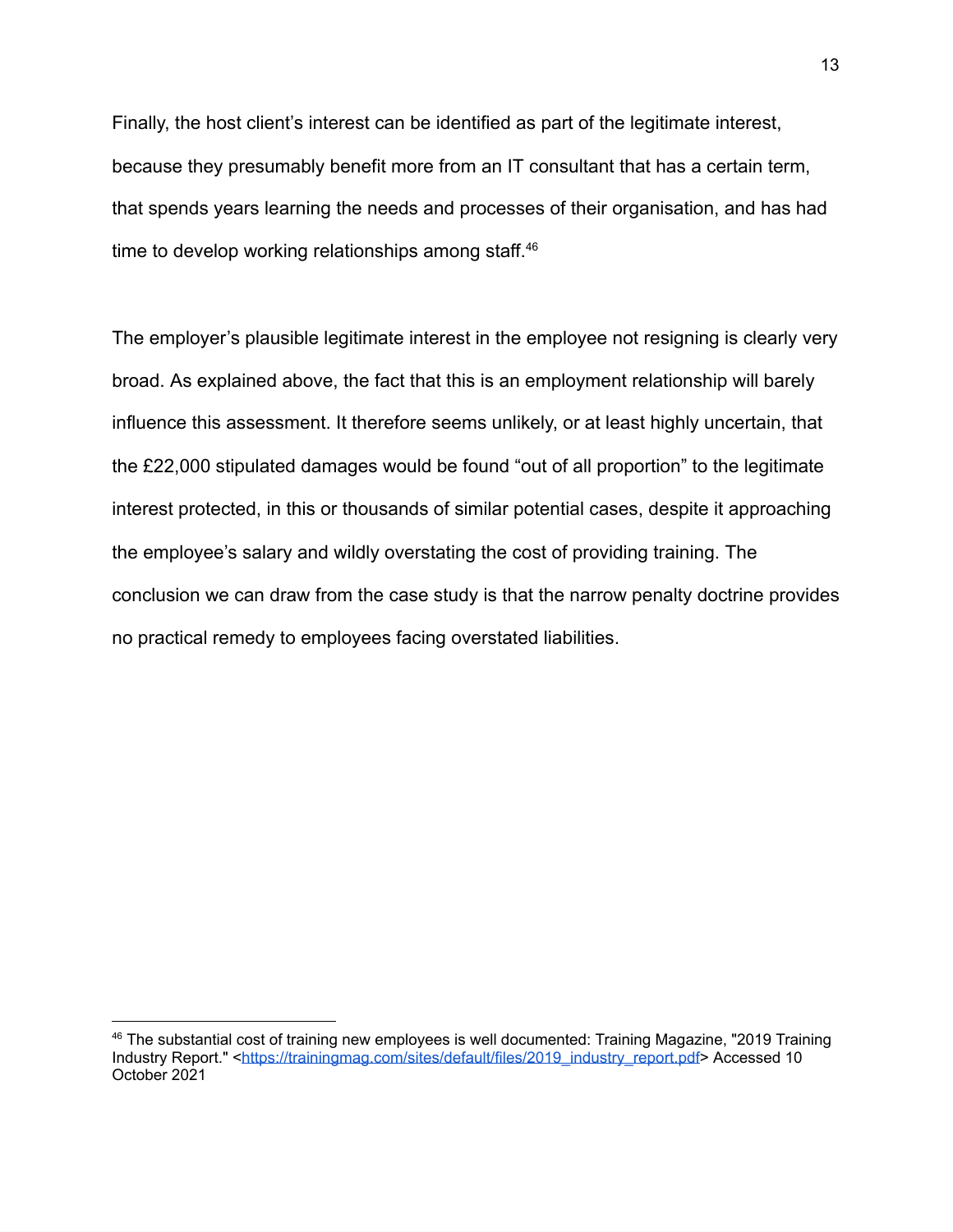Finally, the host client's interest can be identified as part of the legitimate interest, because they presumably benefit more from an IT consultant that has a certain term, that spends years learning the needs and processes of their organisation, and has had time to develop working relationships among staff.<sup>46</sup>

The employer's plausible legitimate interest in the employee not resigning is clearly very broad. As explained above, the fact that this is an employment relationship will barely influence this assessment. It therefore seems unlikely, or at least highly uncertain, that the £22,000 stipulated damages would be found "out of all proportion" to the legitimate interest protected, in this or thousands of similar potential cases, despite it approaching the employee's salary and wildly overstating the cost of providing training. The conclusion we can draw from the case study is that the narrow penalty doctrine provides no practical remedy to employees facing overstated liabilities.

 $46$  The substantial cost of training new employees is well documented: Training Magazine, "2019 Training Industry Report." [<https://trainingmag.com/sites/default/files/2019\\_industry\\_report.pdf>](https://trainingmag.com/sites/default/files/2019_industry_report.pdf) Accessed 10 October 2021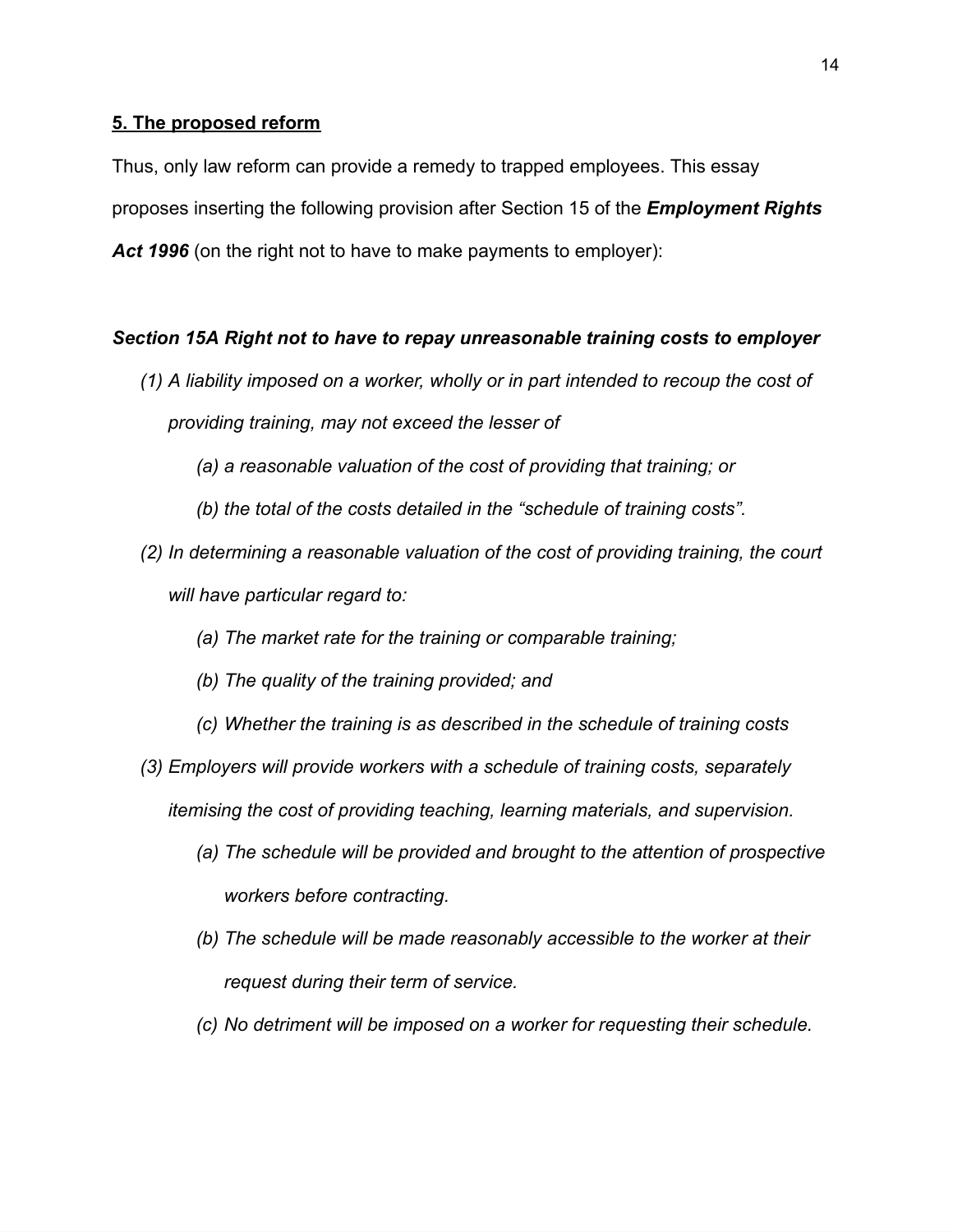## **5. The proposed reform**

Thus, only law reform can provide a remedy to trapped employees. This essay proposes inserting the following provision after Section 15 of the *Employment Rights Act 1996* (on the right not to have to make payments to employer):

## *Section 15A Right not to have to repay unreasonable training costs to employer*

- *(1) A liability imposed on a worker, wholly or in part intended to recoup the cost of providing training, may not exceed the lesser of*
	- *(a) a reasonable valuation of the cost of providing that training; or*
	- *(b) the total of the costs detailed in the "schedule of training costs".*
- *(2) In determining a reasonable valuation of the cost of providing training, the court will have particular regard to:*
	- *(a) The market rate for the training or comparable training;*
	- *(b) The quality of the training provided; and*
	- *(c) Whether the training is as described in the schedule of training costs*
- *(3) Employers will provide workers with a schedule of training costs, separately itemising the cost of providing teaching, learning materials, and supervision.*
	- *(a) The schedule will be provided and brought to the attention of prospective workers before contracting.*
	- *(b) The schedule will be made reasonably accessible to the worker at their request during their term of service.*
	- *(c) No detriment will be imposed on a worker for requesting their schedule.*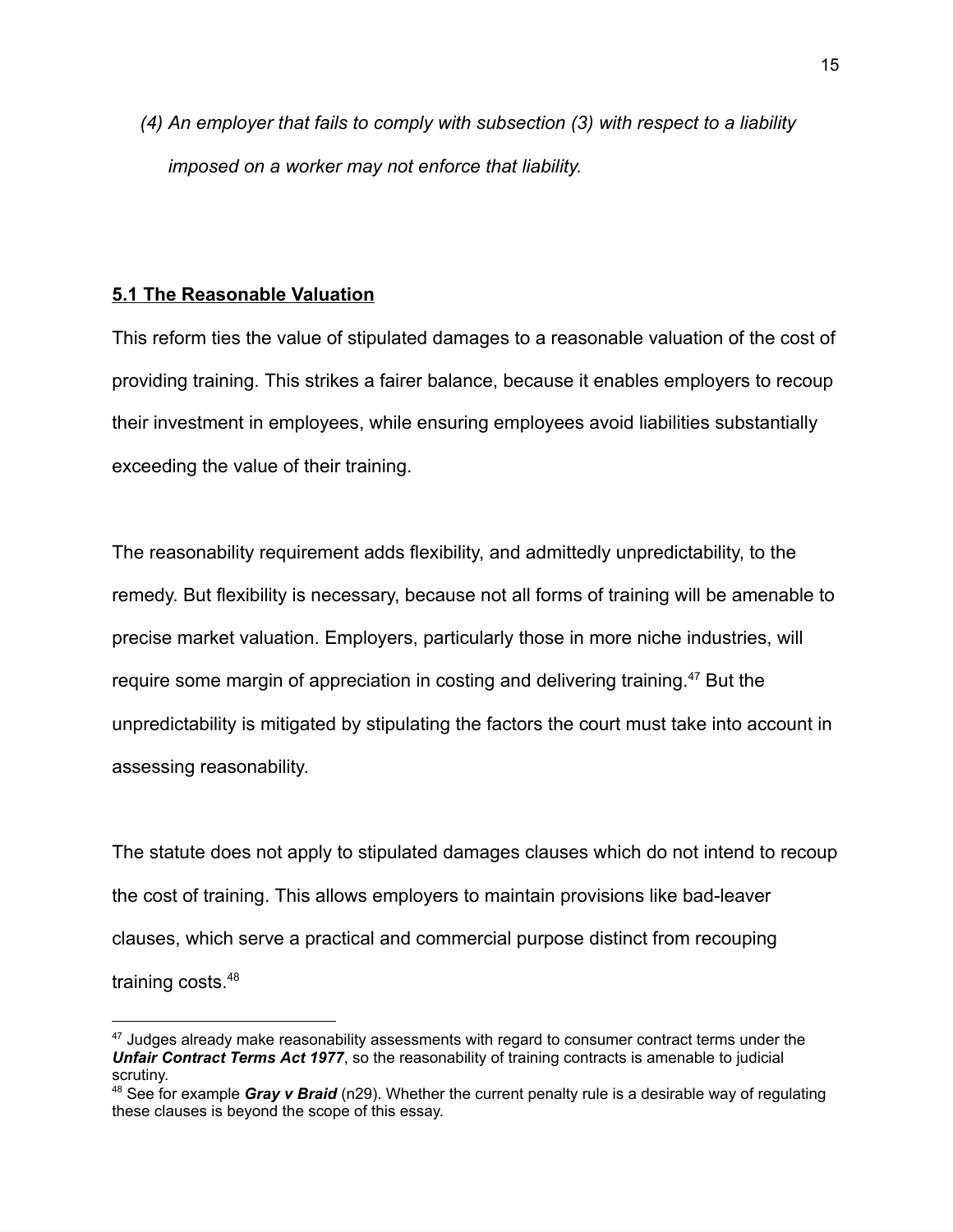*(4) An employer that fails to comply with subsection (3) with respect to a liability imposed on a worker may not enforce that liability.*

## **5.1 The Reasonable Valuation**

This reform ties the value of stipulated damages to a reasonable valuation of the cost of providing training. This strikes a fairer balance, because it enables employers to recoup their investment in employees, while ensuring employees avoid liabilities substantially exceeding the value of their training.

The reasonability requirement adds flexibility, and admittedly unpredictability, to the remedy. But flexibility is necessary, because not all forms of training will be amenable to precise market valuation. Employers, particularly those in more niche industries, will require some margin of appreciation in costing and delivering training.<sup>47</sup> But the unpredictability is mitigated by stipulating the factors the court must take into account in assessing reasonability.

The statute does not apply to stipulated damages clauses which do not intend to recoup the cost of training. This allows employers to maintain provisions like bad-leaver clauses, which serve a practical and commercial purpose distinct from recouping training costs.<sup>48</sup>

<sup>&</sup>lt;sup>47</sup> Judges already make reasonability assessments with regard to consumer contract terms under the *Unfair Contract Terms Act 1977*, so the reasonability of training contracts is amenable to judicial scrutiny.

<sup>48</sup> See for example *Gray v Braid* (n29). Whether the current penalty rule is a desirable way of regulating these clauses is beyond the scope of this essay.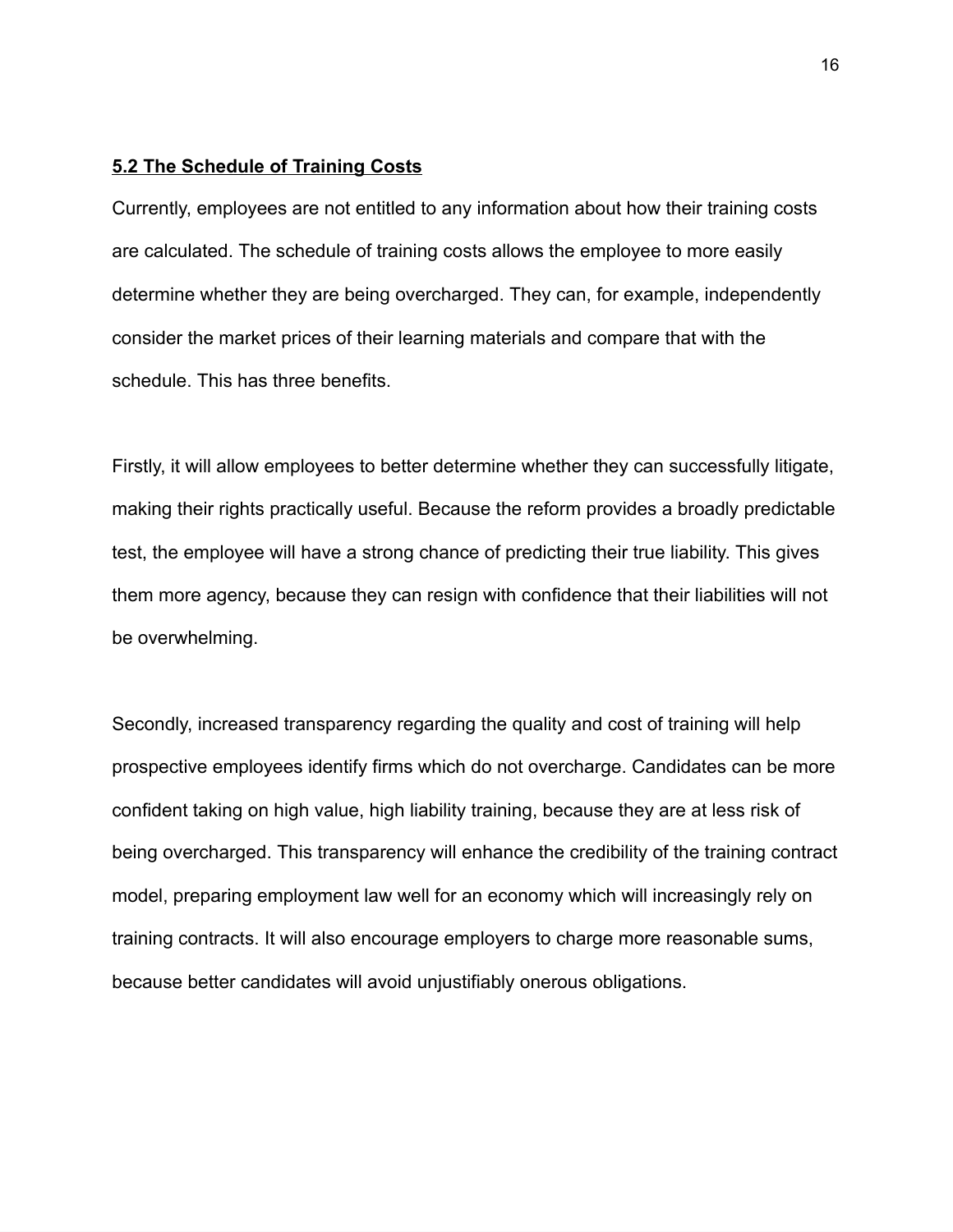#### **5.2 The Schedule of Training Costs**

Currently, employees are not entitled to any information about how their training costs are calculated. The schedule of training costs allows the employee to more easily determine whether they are being overcharged. They can, for example, independently consider the market prices of their learning materials and compare that with the schedule. This has three benefits.

Firstly, it will allow employees to better determine whether they can successfully litigate, making their rights practically useful. Because the reform provides a broadly predictable test, the employee will have a strong chance of predicting their true liability. This gives them more agency, because they can resign with confidence that their liabilities will not be overwhelming.

Secondly, increased transparency regarding the quality and cost of training will help prospective employees identify firms which do not overcharge. Candidates can be more confident taking on high value, high liability training, because they are at less risk of being overcharged. This transparency will enhance the credibility of the training contract model, preparing employment law well for an economy which will increasingly rely on training contracts. It will also encourage employers to charge more reasonable sums, because better candidates will avoid unjustifiably onerous obligations.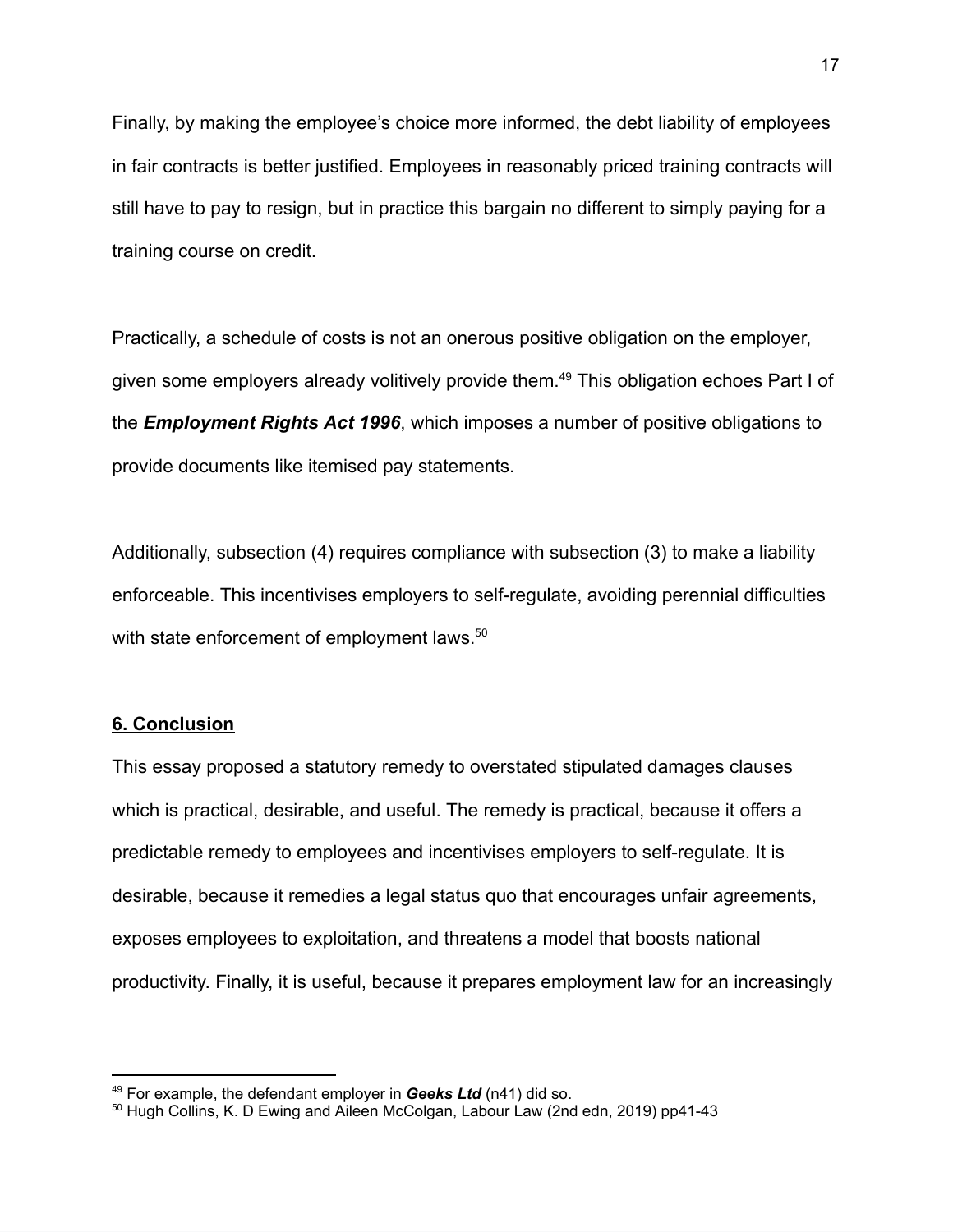Finally, by making the employee's choice more informed, the debt liability of employees in fair contracts is better justified. Employees in reasonably priced training contracts will still have to pay to resign, but in practice this bargain no different to simply paying for a training course on credit.

Practically, a schedule of costs is not an onerous positive obligation on the employer, given some employers already volitively provide them.<sup>49</sup> This obligation echoes Part I of the *Employment Rights Act 1996*, which imposes a number of positive obligations to provide documents like itemised pay statements.

Additionally, subsection (4) requires compliance with subsection (3) to make a liability enforceable. This incentivises employers to self-regulate, avoiding perennial difficulties with state enforcement of employment laws.<sup>50</sup>

#### **6. Conclusion**

This essay proposed a statutory remedy to overstated stipulated damages clauses which is practical, desirable, and useful. The remedy is practical, because it offers a predictable remedy to employees and incentivises employers to self-regulate. It is desirable, because it remedies a legal status quo that encourages unfair agreements, exposes employees to exploitation, and threatens a model that boosts national productivity. Finally, it is useful, because it prepares employment law for an increasingly

<sup>49</sup> For example, the defendant employer in *Geeks Ltd* (n41) did so.

<sup>50</sup> Hugh Collins, K. D Ewing and Aileen McColgan, Labour Law (2nd edn, 2019) pp41-43